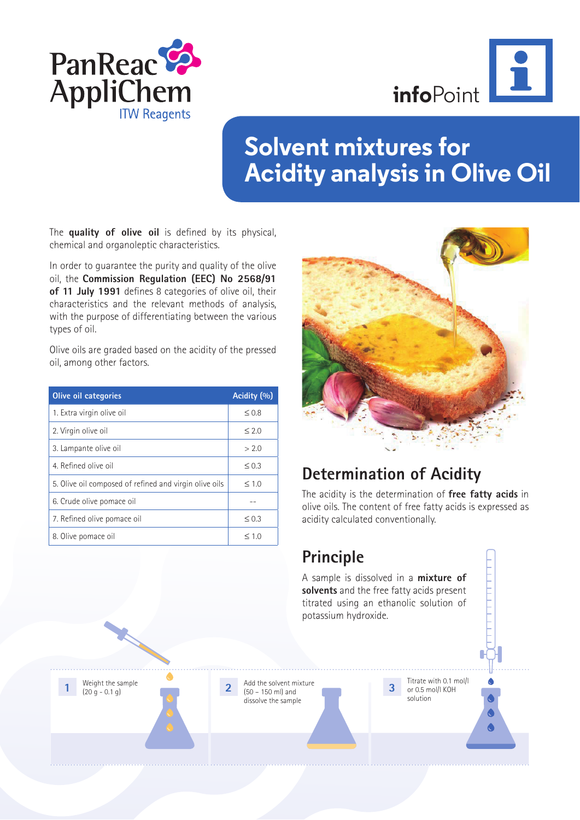



# **Solvent mixtures for Acidity analysis in Olive Oil**

The **quality of olive oil** is defined by its physical, chemical and organoleptic characteristics.

In order to guarantee the purity and quality of the olive oil, the **Commission Regulation (EEC) No 2568/91 of 11 July 1991** defines 8 categories of olive oil, their characteristics and the relevant methods of analysis, with the purpose of differentiating between the various types of oil.

Olive oils are graded based on the acidity of the pressed oil, among other factors.

| <b>Olive oil categories</b>                            | Acidity (%) |
|--------------------------------------------------------|-------------|
| 1. Extra virgin olive oil                              | $\leq 0.8$  |
| 2. Virgin olive oil                                    | $\leq 2.0$  |
| 3. Lampante olive oil                                  | > 2.0       |
| 4. Refined olive oil                                   | $\leq$ 0.3  |
| 5. Olive oil composed of refined and virgin olive oils | $\leq 1.0$  |
| 6. Crude olive pomace oil                              |             |
| 7. Refined olive pomace oil                            | $\leq 0.3$  |
| 8. Olive pomace oil                                    | $\leq 1.0$  |



## **Determination of Acidity**

The acidity is the determination of **free fatty acids** in olive oils. The content of free fatty acids is expressed as acidity calculated conventionally.

## **Principle**

A sample is dissolved in a **mixture of solvents** and the free fatty acids present titrated using an ethanolic solution of potassium hydroxide.

Weight the sample<br>(20 g - 0.1 g)

**2** Add the solvent mixture<br>  $\begin{bmatrix} 3 & 50 \\ 2 & 60 \end{bmatrix}$  Titrate with 0.1 mol/l<br> **3** or 0.5 mol/l KOH (50 – 150 ml) and dissolve the sample

or 0.5 mol/l KOH solution **3**